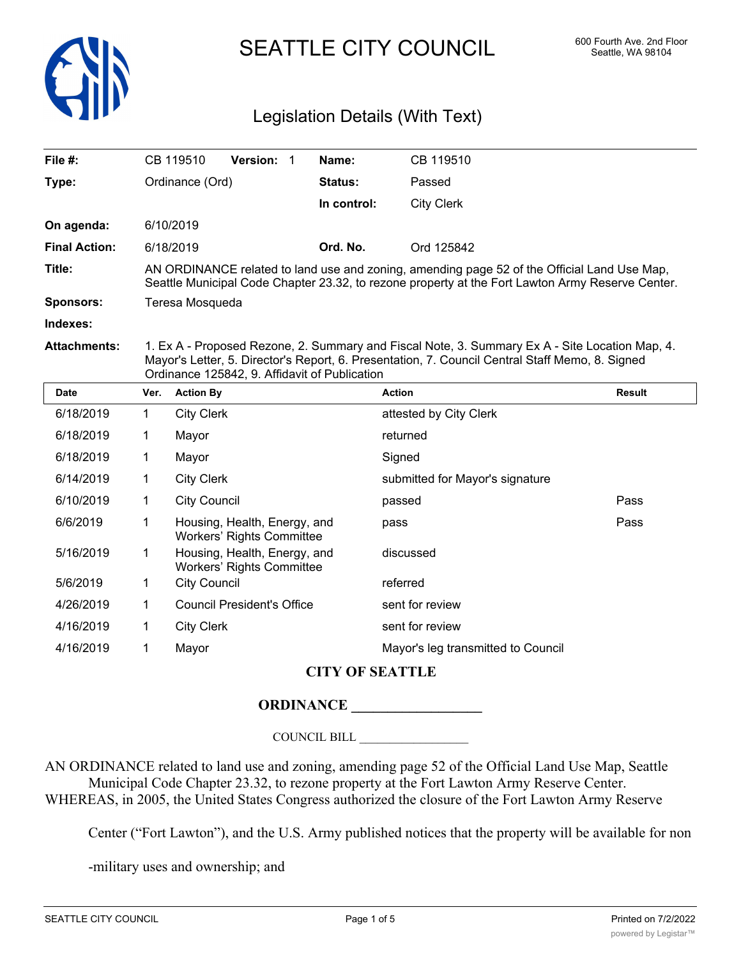

# SEATTLE CITY COUNCIL 600 Fourth Ave. 2nd Floor

## Legislation Details (With Text)

| File $#$ :           |                                                                                                                                                                                                                                                    | CB 119510                                                        | Version: 1 |  | Name:       | CB 119510                          |               |  |
|----------------------|----------------------------------------------------------------------------------------------------------------------------------------------------------------------------------------------------------------------------------------------------|------------------------------------------------------------------|------------|--|-------------|------------------------------------|---------------|--|
| Type:                | Ordinance (Ord)                                                                                                                                                                                                                                    |                                                                  |            |  | Status:     | Passed                             |               |  |
|                      |                                                                                                                                                                                                                                                    |                                                                  |            |  | In control: | <b>City Clerk</b>                  |               |  |
| On agenda:           |                                                                                                                                                                                                                                                    | 6/10/2019                                                        |            |  |             |                                    |               |  |
| <b>Final Action:</b> |                                                                                                                                                                                                                                                    | 6/18/2019                                                        |            |  | Ord. No.    | Ord 125842                         |               |  |
| Title:               | AN ORDINANCE related to land use and zoning, amending page 52 of the Official Land Use Map,<br>Seattle Municipal Code Chapter 23.32, to rezone property at the Fort Lawton Army Reserve Center.                                                    |                                                                  |            |  |             |                                    |               |  |
| <b>Sponsors:</b>     | Teresa Mosqueda                                                                                                                                                                                                                                    |                                                                  |            |  |             |                                    |               |  |
| Indexes:             |                                                                                                                                                                                                                                                    |                                                                  |            |  |             |                                    |               |  |
| <b>Attachments:</b>  | 1. Ex A - Proposed Rezone, 2. Summary and Fiscal Note, 3. Summary Ex A - Site Location Map, 4.<br>Mayor's Letter, 5. Director's Report, 6. Presentation, 7. Council Central Staff Memo, 8. Signed<br>Ordinance 125842, 9. Affidavit of Publication |                                                                  |            |  |             |                                    |               |  |
| <b>Date</b>          | Ver.                                                                                                                                                                                                                                               | <b>Action By</b>                                                 |            |  |             | <b>Action</b>                      | <b>Result</b> |  |
| 6/18/2019            | 1                                                                                                                                                                                                                                                  | <b>City Clerk</b>                                                |            |  |             | attested by City Clerk             |               |  |
| 6/18/2019            | 1                                                                                                                                                                                                                                                  | Mayor                                                            |            |  |             | returned                           |               |  |
| 6/18/2019            | 1                                                                                                                                                                                                                                                  | Mayor                                                            |            |  |             | Signed                             |               |  |
| 6/14/2019            | 1                                                                                                                                                                                                                                                  | <b>City Clerk</b>                                                |            |  |             | submitted for Mayor's signature    |               |  |
| 6/10/2019            | 1                                                                                                                                                                                                                                                  | <b>City Council</b>                                              |            |  |             | passed                             | Pass          |  |
| 6/6/2019             | 1                                                                                                                                                                                                                                                  | Housing, Health, Energy, and<br><b>Workers' Rights Committee</b> |            |  |             | pass                               | Pass          |  |
| 5/16/2019            | 1                                                                                                                                                                                                                                                  | Housing, Health, Energy, and<br><b>Workers' Rights Committee</b> |            |  |             | discussed                          |               |  |
| 5/6/2019             | 1                                                                                                                                                                                                                                                  | <b>City Council</b>                                              |            |  |             | referred                           |               |  |
| 4/26/2019            | 1                                                                                                                                                                                                                                                  | <b>Council President's Office</b>                                |            |  |             | sent for review                    |               |  |
| 4/16/2019            | 1                                                                                                                                                                                                                                                  | <b>City Clerk</b>                                                |            |  |             | sent for review                    |               |  |
| 4/16/2019            | 1                                                                                                                                                                                                                                                  | Mayor                                                            |            |  |             | Mayor's leg transmitted to Council |               |  |

### **CITY OF SEATTLE**

#### **ORDINANCE \_\_\_\_\_\_\_\_\_\_\_\_\_\_\_\_\_\_**

COUNCIL BILL \_\_\_\_\_\_\_\_\_\_\_\_\_\_\_\_\_\_

AN ORDINANCE related to land use and zoning, amending page 52 of the Official Land Use Map, Seattle Municipal Code Chapter 23.32, to rezone property at the Fort Lawton Army Reserve Center. WHEREAS, in 2005, the United States Congress authorized the closure of the Fort Lawton Army Reserve

Center ("Fort Lawton"), and the U.S. Army published notices that the property will be available for non

-military uses and ownership; and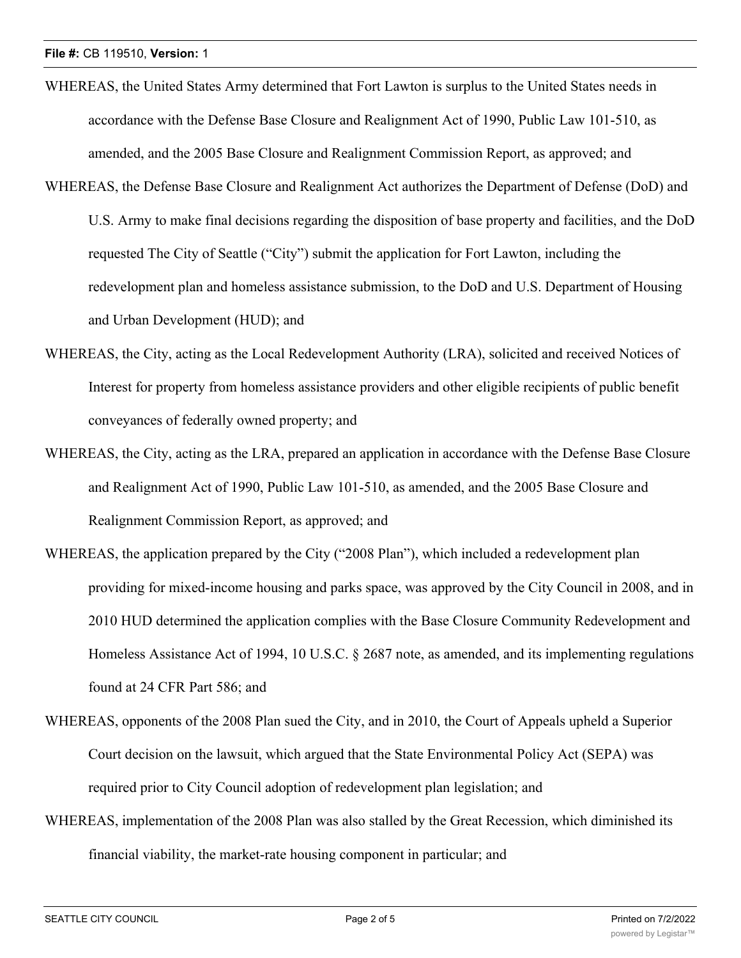- WHEREAS, the United States Army determined that Fort Lawton is surplus to the United States needs in accordance with the Defense Base Closure and Realignment Act of 1990, Public Law 101-510, as amended, and the 2005 Base Closure and Realignment Commission Report, as approved; and
- WHEREAS, the Defense Base Closure and Realignment Act authorizes the Department of Defense (DoD) and U.S. Army to make final decisions regarding the disposition of base property and facilities, and the DoD requested The City of Seattle ("City") submit the application for Fort Lawton, including the redevelopment plan and homeless assistance submission, to the DoD and U.S. Department of Housing and Urban Development (HUD); and
- WHEREAS, the City, acting as the Local Redevelopment Authority (LRA), solicited and received Notices of Interest for property from homeless assistance providers and other eligible recipients of public benefit conveyances of federally owned property; and
- WHEREAS, the City, acting as the LRA, prepared an application in accordance with the Defense Base Closure and Realignment Act of 1990, Public Law 101-510, as amended, and the 2005 Base Closure and Realignment Commission Report, as approved; and
- WHEREAS, the application prepared by the City ("2008 Plan"), which included a redevelopment plan providing for mixed-income housing and parks space, was approved by the City Council in 2008, and in 2010 HUD determined the application complies with the Base Closure Community Redevelopment and Homeless Assistance Act of 1994, 10 U.S.C. § 2687 note, as amended, and its implementing regulations found at 24 CFR Part 586; and
- WHEREAS, opponents of the 2008 Plan sued the City, and in 2010, the Court of Appeals upheld a Superior Court decision on the lawsuit, which argued that the State Environmental Policy Act (SEPA) was required prior to City Council adoption of redevelopment plan legislation; and
- WHEREAS, implementation of the 2008 Plan was also stalled by the Great Recession, which diminished its financial viability, the market-rate housing component in particular; and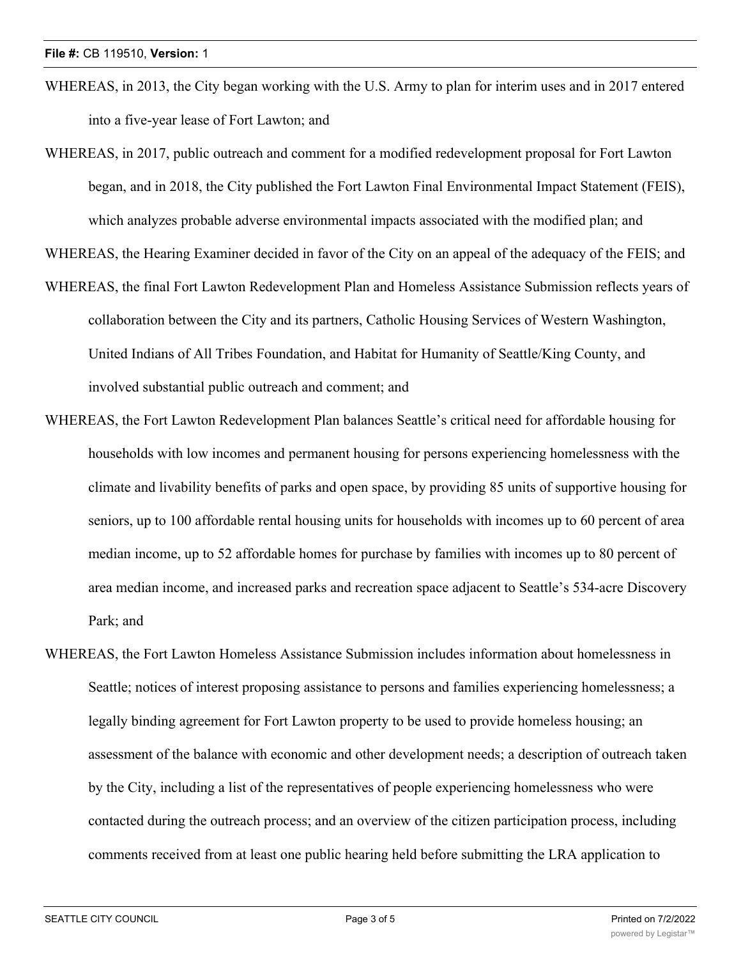- WHEREAS, in 2013, the City began working with the U.S. Army to plan for interim uses and in 2017 entered into a five-year lease of Fort Lawton; and
- WHEREAS, in 2017, public outreach and comment for a modified redevelopment proposal for Fort Lawton began, and in 2018, the City published the Fort Lawton Final Environmental Impact Statement (FEIS), which analyzes probable adverse environmental impacts associated with the modified plan; and

WHEREAS, the Hearing Examiner decided in favor of the City on an appeal of the adequacy of the FEIS; and

- WHEREAS, the final Fort Lawton Redevelopment Plan and Homeless Assistance Submission reflects years of collaboration between the City and its partners, Catholic Housing Services of Western Washington, United Indians of All Tribes Foundation, and Habitat for Humanity of Seattle/King County, and involved substantial public outreach and comment; and
- WHEREAS, the Fort Lawton Redevelopment Plan balances Seattle's critical need for affordable housing for households with low incomes and permanent housing for persons experiencing homelessness with the climate and livability benefits of parks and open space, by providing 85 units of supportive housing for seniors, up to 100 affordable rental housing units for households with incomes up to 60 percent of area median income, up to 52 affordable homes for purchase by families with incomes up to 80 percent of area median income, and increased parks and recreation space adjacent to Seattle's 534-acre Discovery Park; and
- WHEREAS, the Fort Lawton Homeless Assistance Submission includes information about homelessness in Seattle; notices of interest proposing assistance to persons and families experiencing homelessness; a legally binding agreement for Fort Lawton property to be used to provide homeless housing; an assessment of the balance with economic and other development needs; a description of outreach taken by the City, including a list of the representatives of people experiencing homelessness who were contacted during the outreach process; and an overview of the citizen participation process, including comments received from at least one public hearing held before submitting the LRA application to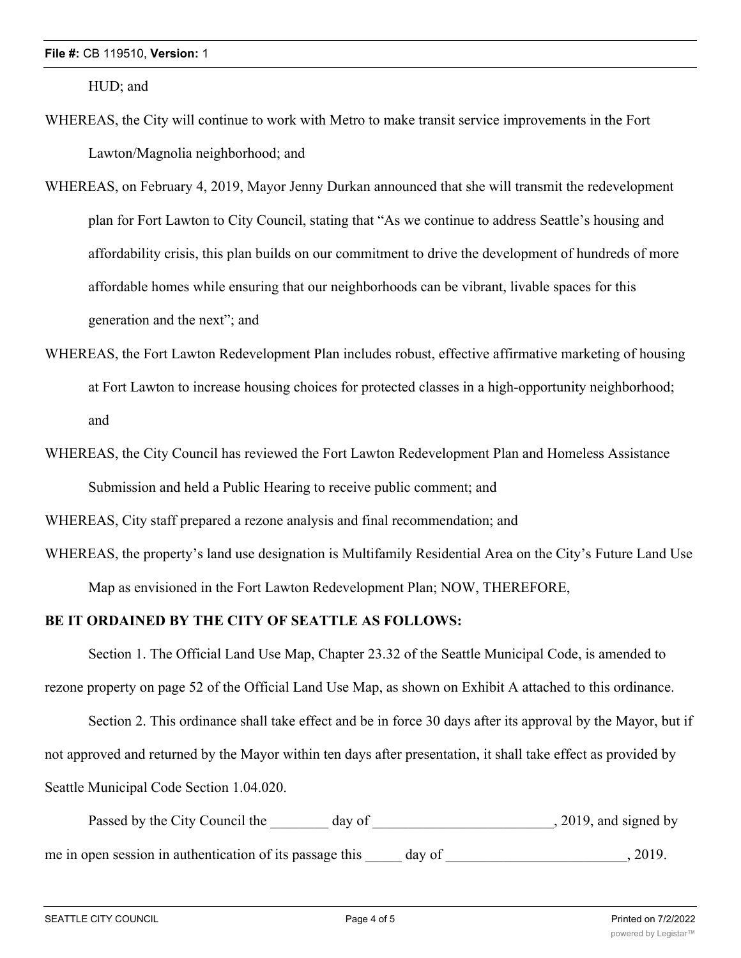HUD; and

- WHEREAS, the City will continue to work with Metro to make transit service improvements in the Fort Lawton/Magnolia neighborhood; and
- WHEREAS, on February 4, 2019, Mayor Jenny Durkan announced that she will transmit the redevelopment plan for Fort Lawton to City Council, stating that "As we continue to address Seattle's housing and affordability crisis, this plan builds on our commitment to drive the development of hundreds of more affordable homes while ensuring that our neighborhoods can be vibrant, livable spaces for this generation and the next"; and
- WHEREAS, the Fort Lawton Redevelopment Plan includes robust, effective affirmative marketing of housing at Fort Lawton to increase housing choices for protected classes in a high-opportunity neighborhood; and
- WHEREAS, the City Council has reviewed the Fort Lawton Redevelopment Plan and Homeless Assistance Submission and held a Public Hearing to receive public comment; and

WHEREAS, City staff prepared a rezone analysis and final recommendation; and

WHEREAS, the property's land use designation is Multifamily Residential Area on the City's Future Land Use Map as envisioned in the Fort Lawton Redevelopment Plan; NOW, THEREFORE,

### **BE IT ORDAINED BY THE CITY OF SEATTLE AS FOLLOWS:**

Section 1. The Official Land Use Map, Chapter 23.32 of the Seattle Municipal Code, is amended to rezone property on page 52 of the Official Land Use Map, as shown on Exhibit A attached to this ordinance.

Section 2. This ordinance shall take effect and be in force 30 days after its approval by the Mayor, but if not approved and returned by the Mayor within ten days after presentation, it shall take effect as provided by Seattle Municipal Code Section 1.04.020.

Passed by the City Council the day of the case of the council the day of the case of the case of the council the day of the case of the case of the case of the case of the case of the case of the case of the case of the ca me in open session in authentication of its passage this day of  $\qquad \qquad$ , 2019.